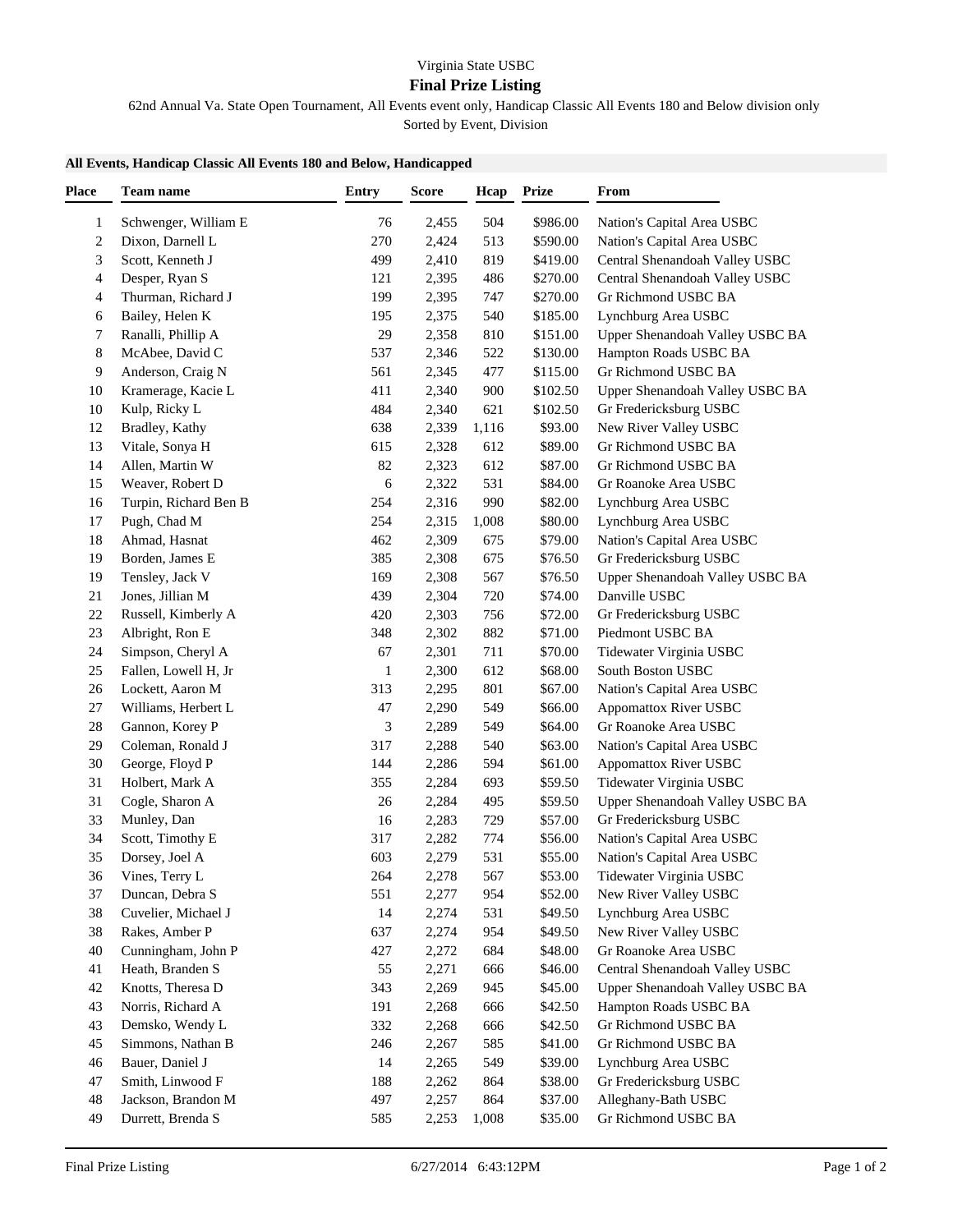## **Final Prize Listing**

62nd Annual Va. State Open Tournament, All Events event only, Handicap Classic All Events 180 and Below division only Sorted by Event, Division

## **All Events, Handicap Classic All Events 180 and Below, Handicapped**

| <b>Place</b>   | Team name             | Entry | <b>Score</b> | Hcap  | <b>Prize</b> | From                            |
|----------------|-----------------------|-------|--------------|-------|--------------|---------------------------------|
| 1              | Schwenger, William E  | 76    | 2,455        | 504   | \$986.00     | Nation's Capital Area USBC      |
| $\overline{c}$ | Dixon, Darnell L      | 270   | 2,424        | 513   | \$590.00     | Nation's Capital Area USBC      |
| 3              | Scott, Kenneth J      | 499   | 2,410        | 819   | \$419.00     | Central Shenandoah Valley USBC  |
| 4              | Desper, Ryan S        | 121   | 2,395        | 486   | \$270.00     | Central Shenandoah Valley USBC  |
| 4              | Thurman, Richard J    | 199   | 2,395        | 747   | \$270.00     | Gr Richmond USBC BA             |
| 6              | Bailey, Helen K       | 195   | 2,375        | 540   | \$185.00     | Lynchburg Area USBC             |
| 7              | Ranalli, Phillip A    | 29    | 2,358        | 810   | \$151.00     | Upper Shenandoah Valley USBC BA |
| 8              | McAbee, David C       | 537   | 2,346        | 522   | \$130.00     | Hampton Roads USBC BA           |
| 9              | Anderson, Craig N     | 561   | 2,345        | 477   | \$115.00     | Gr Richmond USBC BA             |
| 10             | Kramerage, Kacie L    | 411   | 2,340        | 900   | \$102.50     | Upper Shenandoah Valley USBC BA |
| 10             | Kulp, Ricky L         | 484   | 2,340        | 621   | \$102.50     | Gr Fredericksburg USBC          |
| 12             | Bradley, Kathy        | 638   | 2,339        | 1,116 | \$93.00      | New River Valley USBC           |
| 13             | Vitale, Sonya H       | 615   | 2,328        | 612   | \$89.00      | Gr Richmond USBC BA             |
| 14             | Allen, Martin W       | 82    | 2,323        | 612   | \$87.00      | Gr Richmond USBC BA             |
| 15             | Weaver, Robert D      | 6     | 2,322        | 531   | \$84.00      | Gr Roanoke Area USBC            |
| 16             | Turpin, Richard Ben B | 254   | 2,316        | 990   | \$82.00      | Lynchburg Area USBC             |
| 17             | Pugh, Chad M          | 254   | 2,315        | 1,008 | \$80.00      | Lynchburg Area USBC             |
| 18             | Ahmad, Hasnat         | 462   | 2,309        | 675   | \$79.00      | Nation's Capital Area USBC      |
| 19             | Borden, James E       | 385   | 2,308        | 675   | \$76.50      | Gr Fredericksburg USBC          |
| 19             | Tensley, Jack V       | 169   | 2,308        | 567   | \$76.50      | Upper Shenandoah Valley USBC BA |
| 21             | Jones, Jillian M      | 439   | 2,304        | 720   | \$74.00      | Danville USBC                   |
| 22             | Russell, Kimberly A   | 420   | 2,303        | 756   | \$72.00      | Gr Fredericksburg USBC          |
| 23             | Albright, Ron E       | 348   | 2,302        | 882   | \$71.00      | Piedmont USBC BA                |
| 24             | Simpson, Cheryl A     | 67    | 2,301        | 711   | \$70.00      | Tidewater Virginia USBC         |
| 25             | Fallen, Lowell H, Jr  | 1     | 2,300        | 612   | \$68.00      | South Boston USBC               |
| $26\,$         | Lockett, Aaron M      | 313   | 2,295        | 801   | \$67.00      | Nation's Capital Area USBC      |
| 27             | Williams, Herbert L   | 47    | 2,290        | 549   | \$66.00      | Appomattox River USBC           |
| 28             | Gannon, Korey P       | 3     | 2,289        | 549   | \$64.00      | Gr Roanoke Area USBC            |
| 29             | Coleman, Ronald J     | 317   | 2,288        | 540   | \$63.00      | Nation's Capital Area USBC      |
| 30             | George, Floyd P       | 144   | 2,286        | 594   | \$61.00      | Appomattox River USBC           |
| 31             | Holbert, Mark A       | 355   | 2,284        | 693   | \$59.50      | Tidewater Virginia USBC         |
| 31             | Cogle, Sharon A       | 26    | 2,284        | 495   | \$59.50      | Upper Shenandoah Valley USBC BA |
| 33             | Munley, Dan           | 16    | 2,283        | 729   | \$57.00      | Gr Fredericksburg USBC          |
| 34             | Scott, Timothy E      | 317   | 2,282        | 774   | \$56.00      | Nation's Capital Area USBC      |
| 35             | Dorsey, Joel A        | 603   | 2,279        | 531   | \$55.00      | Nation's Capital Area USBC      |
| 36             | Vines, Terry L        | 264   | 2,278        | 567   | \$53.00      | Tidewater Virginia USBC         |
| 37             | Duncan, Debra S       | 551   | 2,277        | 954   | \$52.00      | New River Valley USBC           |
| 38             | Cuvelier, Michael J   | 14    | 2,274        | 531   | \$49.50      | Lynchburg Area USBC             |
| 38             | Rakes, Amber P        | 637   | 2,274        | 954   | \$49.50      | New River Valley USBC           |
| 40             | Cunningham, John P    | 427   | 2,272        | 684   | \$48.00      | Gr Roanoke Area USBC            |
| 41             | Heath, Branden S      | 55    | 2,271        | 666   | \$46.00      | Central Shenandoah Valley USBC  |
| 42             | Knotts, Theresa D     | 343   | 2,269        | 945   | \$45.00      | Upper Shenandoah Valley USBC BA |
| 43             | Norris, Richard A     | 191   | 2,268        | 666   | \$42.50      | Hampton Roads USBC BA           |
| 43             | Demsko, Wendy L       | 332   | 2,268        | 666   | \$42.50      | Gr Richmond USBC BA             |
| 45             | Simmons, Nathan B     | 246   | 2,267        | 585   | \$41.00      | Gr Richmond USBC BA             |
| 46             | Bauer, Daniel J       | 14    | 2,265        | 549   | \$39.00      | Lynchburg Area USBC             |
| 47             | Smith, Linwood F      | 188   | 2,262        | 864   | \$38.00      | Gr Fredericksburg USBC          |
| 48             | Jackson, Brandon M    | 497   | 2,257        | 864   | \$37.00      | Alleghany-Bath USBC             |
| 49             | Durrett, Brenda S     | 585   | 2,253        | 1,008 | \$35.00      | Gr Richmond USBC BA             |
|                |                       |       |              |       |              |                                 |